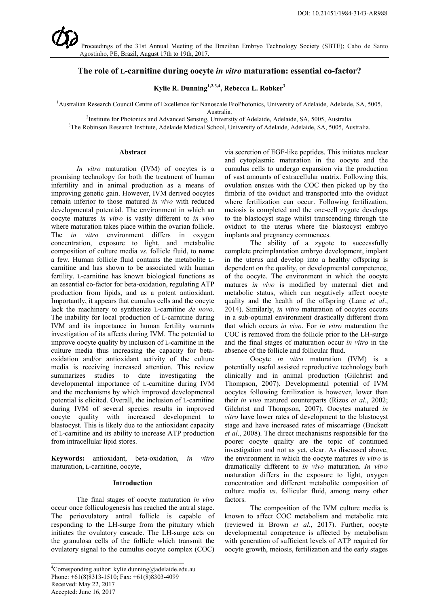# **The role of L-carnitine during oocyte** *in vitro* **maturation: essential co-factor?**

**Kylie R. Dunning1,2,3,4, Rebecca L. Robker3**

<sup>1</sup> Australian Research Council Centre of Excellence for Nanoscale BioPhotonics, University of Adelaide, Adelaide, SA, 5005,

Australia.<br><sup>2</sup>Institute for Photonics and Advanced Sensing, University of Adelaide, Adelaide, SA, 5005, Australia.

3 The Robinson Research Institute, Adelaide Medical School, University of Adelaide, Adelaide, SA, 5005, Australia*.*

#### **Abstract**

*In vitro* maturation (IVM) of oocytes is a promising technology for both the treatment of human infertility and in animal production as a means of improving genetic gain. However, IVM derived oocytes remain inferior to those matured *in vivo* with reduced developmental potential. The environment in which an oocyte matures *in vitro* is vastly different to *in vivo* where maturation takes place within the ovarian follicle. The *in vitro* environment differs in oxygen concentration, exposure to light, and metabolite composition of culture media *vs*. follicle fluid, to name a few. Human follicle fluid contains the metabolite Lcarnitine and has shown to be associated with human fertility. L-carnitine has known biological functions as an essential co-factor for beta-oxidation, regulating ATP production from lipids, and as a potent antioxidant. Importantly, it appears that cumulus cells and the oocyte lack the machinery to synthesize L-carnitine *de novo*. The inability for local production of L-carnitine during IVM and its importance in human fertility warrants investigation of its affects during IVM. The potential to improve oocyte quality by inclusion of L-carnitine in the culture media thus increasing the capacity for betaoxidation and/or antioxidant activity of the culture media is receiving increased attention. This review summarizes studies to date investigating the developmental importance of L-carnitine during IVM and the mechanisms by which improved developmental potential is elicited. Overall, the inclusion of L-carnitine during IVM of several species results in improved oocyte quality with increased development to blastocyst. This is likely due to the antioxidant capacity of L-carnitine and its ability to increase ATP production from intracellular lipid stores.

**Keywords:** antioxidant, beta-oxidation, *in vitro* maturation, L-carnitine, oocyte,

#### **Introduction**

The final stages of oocyte maturation *in vivo* occur once folliculogenesis has reached the antral stage. The periovulatory antral follicle is capable of responding to the LH-surge from the pituitary which initiates the ovulatory cascade. The LH-surge acts on the granulosa cells of the follicle which transmit the ovulatory signal to the cumulus oocyte complex (COC)

via secretion of EGF-like peptides. This initiates nuclear and cytoplasmic maturation in the oocyte and the cumulus cells to undergo expansion via the production of vast amounts of extracellular matrix. Following this, ovulation ensues with the COC then picked up by the fimbria of the oviduct and transported into the oviduct where fertilization can occur. Following fertilization, meiosis is completed and the one-cell zygote develops to the blastocyst stage whilst transcending through the oviduct to the uterus where the blastocyst embryo implants and pregnancy commences.

The ability of a zygote to successfully complete preimplantation embryo development, implant in the uterus and develop into a healthy offspring is dependent on the quality, or developmental competence, of the oocyte. The environment in which the oocyte matures *in vivo* is modified by maternal diet and metabolic status, which can negatively affect oocyte quality and the health of the offspring [\(Lane](#page-4-0) *et al*., [2014\)](#page-4-0). Similarly, *in vitro* maturation of oocytes occurs in a sub-optimal environment drastically different from that which occurs *in vivo*. For *in vitro* maturation the COC is removed from the follicle prior to the LH-surge and the final stages of maturation occur *in vitro* in the absence of the follicle and follicular fluid.

Oocyte *in vitro* maturation (IVM) is a potentially useful assisted reproductive technology both clinically and in animal production [\(Gilchrist and](#page-4-1)  [Thompson, 2007\)](#page-4-1). Developmental potential of IVM oocytes following fertilization is however, lower than their *in vivo* matured counterparts (Rizos *et al*[., 2002;](#page-5-0) [Gilchrist and Thompson, 2007\)](#page-4-1). Oocytes matured *in vitro* have lower rates of development to the blastocyst stage and have increased rates of miscarriage [\(Buckett](#page-4-2)  *et al*[., 2008\)](#page-4-2). The direct mechanisms responsible for the poorer oocyte quality are the topic of continued investigation and not as yet, clear. As discussed above, the environment in which the oocyte matures *in vitro* is dramatically different to *in vivo* maturation. *In vitro* maturation differs in the exposure to light, oxygen concentration and different metabolite composition of culture media *vs*. follicular fluid, among many other factors.

The composition of the IVM culture media is known to affect COC metabolism and metabolic rate (reviewed in Brown *et al*[., 2017\)](#page-4-3). Further, oocyte developmental competence is affected by metabolism with generation of sufficient levels of ATP required for oocyte growth, meiosis, fertilization and the early stages

<sup>4</sup> Corresponding author: kylie.dunning@adelaide.edu.au Phone: +61(8)8313-1510; Fax: +61(8)8303-4099 Received: May 22, 2017 Accepted: June 16, 2017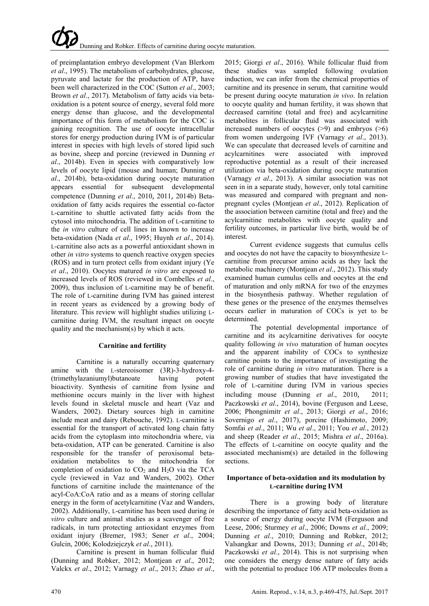of preimplantation embryo development [\(Van Blerkom](#page-6-0)  *et al*[., 1995\)](#page-6-0). The metabolism of carbohydrates, glucose, pyruvate and lactate for the production of ATP, have been well characterized in the COC (Sutton *et al*., 2003; Brown *et al*[., 2017\)](#page-4-3). Metabolism of fatty acids via betaoxidation is a potent source of energy, several fold more energy dense than glucose, and the developmental importance of this form of metabolism for the COC is gaining recognition. The use of oocyte intracellular stores for energy production during IVM is of particular interest in species with high levels of stored lipid such as bovine, sheep and porcine (reviewed in [Dunning](#page-4-4) *et al*[., 2014b\)](#page-4-4). Even in species with comparatively low levels of oocyte lipid (mouse and human; [Dunning](#page-4-4) *et al*[., 2014b\)](#page-4-4), beta-oxidation during oocyte maturation appears essential for subsequent developmental competence (Dunning *et al*., 2010, [2011](#page-4-5), [2014b\)](#page-4-4) Betaoxidation of fatty acids requires the essential co-factor L-carnitine to shuttle activated fatty acids from the cytosol into mitochondria. The addition of L-carnitine to the *in vitro* culture of cell lines in known to increase beta-oxidation (Nada *et al*[., 1995;](#page-5-1) [Huynh](#page-4-6) *et al*., 2014). L-carnitine also acts as a powerful antioxidant shown in other *in vitro* systems to quench reactive oxygen species (ROS) and in turn protect cells from oxidant injury [\(Ye](#page-6-1)  *et al*[., 2010\)](#page-6-1). Oocytes matured *in vitro* are exposed to increased levels of ROS (reviewed in [Combelles](#page-4-7) *et al*., [2009\)](#page-4-7), thus inclusion of L-carnitine may be of benefit. The role of L-carnitine during IVM has gained interest in recent years as evidenced by a growing body of literature. This review will highlight studies utilizing Lcarnitine during IVM, the resultant impact on oocyte quality and the mechanism(s) by which it acts.

# **Carnitine and fertility**

Carnitine is a naturally occurring quaternary amine with the L-stereoisomer (3R)-3-hydroxy-4- (trimethylazaniumyl)butanoate having potent bioactivity. Synthesis of carnitine from lysine and methionine occurs mainly in the liver with highest levels found in skeletal muscle and heart [\(Vaz and](#page-6-2)  [Wanders, 2002\)](#page-6-2). Dietary sources high in carnitine include meat and dairy [\(Rebouche, 1992\)](#page-5-2). L-carnitine is essential for the transport of activated long chain fatty acids from the cytoplasm into mitochondria where, via beta-oxidation, ATP can be generated. Carnitine is also responsible for the transfer of peroxisomal betaoxidation metabolites to the mitochondria for completion of oxidation to  $CO<sub>2</sub>$  and  $H<sub>2</sub>O$  via the TCA cycle (reviewed in [Vaz and Wanders, 2002\)](#page-6-2). Other functions of carnitine include the maintenance of the acyl-CoA:CoA ratio and as a means of storing cellular energy in the form of acetylcarnitine [\(Vaz and Wanders,](#page-6-2)  [2002\)](#page-6-2). Additionally, L-carnitine has been used during *in vitro* culture and animal studies as a scavenger of free radicals, in turn protecting antioxidant enzymes from oxidant injury [\(Bremer, 1983;](#page-4-8) Sener *et al*[., 2004;](#page-5-3) [Gulcin, 2006;](#page-4-9) [Kolodziejczyk](#page-4-10) *et al*., 2011).

Carnitine is present in human follicular fluid (Dunning and Robker, 2012; [Montjean](#page-5-4) *et al*., 2012; [Valckx](#page-6-3) *et al*., 2012; [Varnagy](#page-6-4) *et al*., 2013; [Zhao](#page-6-5) *et al*., [2015;](#page-6-5) [Giorgi](#page-4-11) *et al*., 2016). While follicular fluid from these studies was sampled following ovulation induction, we can infer from the chemical properties of carnitine and its presence in serum, that carnitine would be present during oocyte maturation *in vivo*. In relation to oocyte quality and human fertility, it was shown that decreased carnitine (total and free) and acylcarnitine metabolites in follicular fluid was associated with increased numbers of oocytes  $(>9)$  and embryos  $(>6)$ from women undergoing IVF [\(Varnagy](#page-6-4) *et al*., 2013). We can speculate that decreased levels of carnitine and acylcarnitines were associated with improved reproductive potential as a result of their increased utilization via beta-oxidation during oocyte maturation [\(Varnagy](#page-6-4) *et al*., 2013). A similar association was not seen in in a separate study, however, only total carnitine was measured and compared with pregnant and nonpregnant cycles [\(Montjean](#page-5-4) *et al*., 2012). Replication of the association between carnitine (total and free) and the acylcarnitine metabolites with oocyte quality and fertility outcomes, in particular live birth, would be of interest.

Current evidence suggests that cumulus cells and oocytes do not have the capacity to biosynthesize Lcarnitine from precursor amino acids as they lack the metabolic machinery [\(Montjean](#page-5-4) *et al*., 2012). This study examined human cumulus cells and oocytes at the end of maturation and only mRNA for two of the enzymes in the biosynthesis pathway. Whether regulation of these genes or the presence of the enzymes themselves occurs earlier in maturation of COCs is yet to be determined.

The potential developmental importance of carnitine and its acylcarnitine derivatives for oocyte quality following *in vivo* maturation of human oocytes and the apparent inability of COCs to synthesize carnitine points to the importance of investigating the role of carnitine during *in vitro* maturation. There is a growing number of studies that have investigated the role of L-carnitine during IVM in various species including mouse (Dunning *et al*., 2010, [2011;](#page-4-5) [Paczkowski](#page-5-5) *et al*., 2014), bovine [\(Ferguson and Leese,](#page-4-12)  [2006;](#page-4-12) [Phongnimitr](#page-5-6) *et al*., 2013; Giorgi *et al*[., 2016;](#page-4-11) [Sovernigo](#page-5-7) *et al*., 2017), porcine [\(Hashimoto, 2009;](#page-4-13) [Somfai](#page-5-8) *et al*., 2011; Wu *et al*[., 2011;](#page-6-6) You *et al*[., 2012\)](#page-6-7) and sheep [\(Reader](#page-5-9) *et al*., 2015; Mishra *et al*[., 2016a\)](#page-5-10). The effects of L-carnitine on oocyte quality and the associated mechanism(s) are detailed in the following sections.

## **Importance of beta-oxidation and its modulation by L-carnitine during IVM**

There is a growing body of literature describing the importance of fatty acid beta-oxidation as a source of energy during oocyte IVM [\(Ferguson and](#page-4-12)  [Leese, 2006;](#page-4-12) [Sturmey](#page-5-11) *et al*., 2006; [Downs](#page-4-14) *et al*., 2009; Dunning *et al*., 2010; Dunning and Robker, 2012; [Valsangkar and Downs, 2013;](#page-6-8) [Dunning](#page-4-4) *et al*., 2014b; [Paczkowski](#page-5-5) *et al*., 2014). This is not surprising when one considers the energy dense nature of fatty acids with the potential to produce 106 ATP molecules from a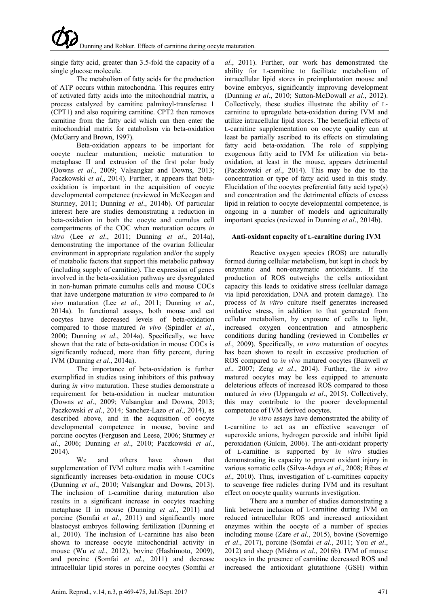single fatty acid, greater than 3.5-fold the capacity of a single glucose molecule.

The metabolism of fatty acids for the production of ATP occurs within mitochondria. This requires entry of activated fatty acids into the mitochondrial matrix, a process catalyzed by carnitine palmitoyl-transferase 1 (CPT1) and also requiring carnitine. CPT2 then removes carnitine from the fatty acid which can then enter the mitochondrial matrix for catabolism via beta-oxidation [\(McGarry and Brown, 1997\)](#page-5-12).

Beta-oxidation appears to be important for oocyte nuclear maturation; meiotic maturation to metaphase II and extrusion of the first polar body [\(Downs](#page-4-14) *et al*., 2009; [Valsangkar and Downs, 2013;](#page-6-8) [Paczkowski](#page-5-5) *et al*., 2014). Further, it appears that betaoxidation is important in the acquisition of oocyte developmental competence (reviewed in [McKeegan and](#page-5-13)  [Sturmey, 2011;](#page-5-13) [Dunning](#page-4-4) *et al*., 2014b). Of particular interest here are studies demonstrating a reduction in beta-oxidation in both the oocyte and cumulus cell compartments of the COC when maturation occurs *in vitro* (Lee *et al*[., 2011;](#page-4-15) [Dunning](#page-4-16) *et al*., 2014a), demonstrating the importance of the ovarian follicular environment in appropriate regulation and/or the supply of metabolic factors that support this metabolic pathway (including supply of carnitine). The expression of genes involved in the beta-oxidation pathway are dysregulated in non-human primate cumulus cells and mouse COCs that have undergone maturation *in vitro* compared to *in vivo* maturation (Lee *et al*[., 2011;](#page-4-15) [Dunning](#page-4-16) *et al*., [2014a\)](#page-4-16). In functional assays, both mouse and cat oocytes have decreased levels of beta-oxidation compared to those matured *in vivo* [\(Spindler](#page-5-14) *et al*., [2000;](#page-5-14) [Dunning](#page-4-16) *et al*., 2014a). Specifically, we have shown that the rate of beta-oxidation in mouse COCs is significantly reduced, more than fifty percent, during IVM [\(Dunning](#page-4-16) *et al*., 2014a).

The importance of beta-oxidation is further exemplified in studies using inhibitors of this pathway during *in vitro* maturation. These studies demonstrate a requirement for beta-oxidation in nuclear maturation [\(Downs](#page-4-14) *et al*., 2009; [Valsangkar and Downs, 2013;](#page-6-8) [Paczkowski](#page-5-5) *et al*., 2014; [Sanchez-Lazo](#page-5-15) *et al*., 2014), as described above, and in the acquisition of oocyte developmental competence in mouse, bovine and porcine oocytes [\(Ferguson and Leese, 2006;](#page-4-12) [Sturmey](#page-5-11) *et al*[., 2006;](#page-5-11) Dunning *et al*., 2010; [Paczkowski](#page-5-5) *et al*., [2014\)](#page-5-5).

We and others have shown that supplementation of IVM culture media with L-carnitine significantly increases beta-oxidation in mouse COCs (Dunning *et al*., 2010; [Valsangkar and Downs, 2013\)](#page-6-8). The inclusion of L-carnitine during maturation also results in a significant increase in oocytes reaching metaphase II in mouse [\(Dunning](#page-4-5) *et al*., 2011) and porcine [\(Somfai](#page-5-8) *et al*., 2011) and significantly more blastocyst embryos following fertilization (Dunning et al., 2010). The inclusion of L-carnitine has also been shown to increase oocyte mitochondrial activity in mouse (Wu *et al*[., 2012\)](#page-6-9), bovine [\(Hashimoto, 2009\)](#page-4-13), and porcine (Somfai *et al*[., 2011\)](#page-5-8) and decrease intracellular lipid stores in porcine oocytes [\(Somfai](#page-5-8) *et* 

*al*[., 2011\)](#page-5-8). Further, our work has demonstrated the ability for L-carnitine to facilitate metabolism of intracellular lipid stores in preimplantation mouse and bovine embryos, significantly improving development (Dunning *et al*., 2010; [Sutton-McDowall](#page-5-16) *et al*., 2012). Collectively, these studies illustrate the ability of Lcarnitine to upregulate beta-oxidation during IVM and utilize intracellular lipid stores. The beneficial effects of L-carnitine supplementation on oocyte quality can at least be partially ascribed to its effects on stimulating fatty acid beta-oxidation. The role of supplying exogenous fatty acid to IVM for utilization via betaoxidation, at least in the mouse, appears detrimental [\(Paczkowski](#page-5-5) *et al*., 2014). This may be due to the concentration or type of fatty acid used in this study. Elucidation of the oocytes preferential fatty acid type(s) and concentration and the detrimental effects of excess lipid in relation to oocyte developmental competence, is ongoing in a number of models and agriculturally important species (reviewed in [Dunning](#page-4-4) *et al*., 2014b).

### **Anti-oxidant capacity of L-carnitine during IVM**

Reactive oxygen species (ROS) are naturally formed during cellular metabolism, but kept in check by enzymatic and non-enzymatic antioxidants. If the production of ROS outweighs the cells antioxidant capacity this leads to oxidative stress (cellular damage via lipid peroxidation, DNA and protein damage). The process of *in vitro* culture itself generates increased oxidative stress, in addition to that generated from cellular metabolism, by exposure of cells to light, increased oxygen concentration and atmospheric conditions during handling (reviewed in [Combelles](#page-4-7) *et al*[., 2009\)](#page-4-7). Specifically, *in vitro* maturation of oocytes has been shown to result in excessive production of ROS compared to *in vivo* matured oocytes [\(Banwell](#page-4-17) *et al*[., 2007;](#page-4-17) Zeng *et al*[., 2014\)](#page-6-10). Further, the *in vitro* matured oocytes may be less equipped to attenuate deleterious effects of increased ROS compared to those matured *in vivo* [\(Uppangala](#page-5-17) *et al*., 2015). Collectively, this may contribute to the poorer developmental competence of IVM derived oocytes.

*In vitro* assays have demonstrated the ability of L-carnitine to act as an effective scavenger of superoxide anions, hydrogen peroxide and inhibit lipid peroxidation [\(Gulcin, 2006\)](#page-4-9). The anti-oxidant property of L-carnitine is supported by *in vitro* studies demonstrating its capacity to prevent oxidant injury in various somatic cells [\(Silva-Adaya](#page-5-18) *et al*., 2008; [Ribas](#page-5-19) *et al*[., 2010\)](#page-5-19). Thus, investigation of L-carnitines capacity to scavenge free radicles during IVM and its resultant effect on oocyte quality warrants investigation.

There are a number of studies demonstrating a link between inclusion of L-carnitine during IVM on reduced intracellular ROS and increased antioxidant enzymes within the oocyte of a number of species including mouse (Zare *et al*[., 2015\)](#page-6-11), bovine [\(Sovernigo](#page-5-7)  *et al*[., 2017\)](#page-5-7), porcine [\(Somfai](#page-5-8) *et al*., 2011; [You](#page-6-7) *et al*., [2012\)](#page-6-7) and sheep (Mishra *et al*[., 2016b\)](#page-5-20). IVM of mouse oocytes in the presence of carnitine decreased ROS and increased the antioxidant glutathione (GSH) within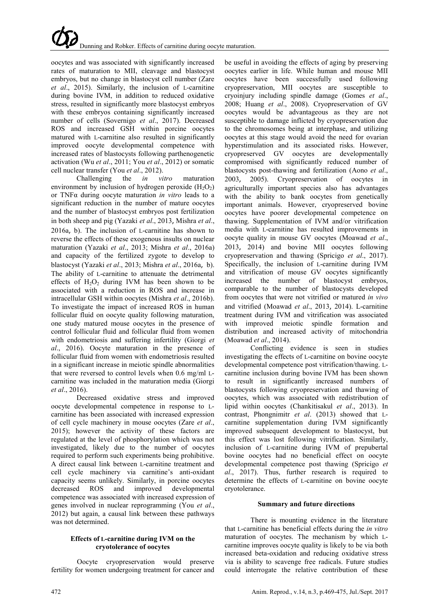oocytes and was associated with significantly increased rates of maturation to MII, cleavage and blastocyst embryos, but no change in blastocyst cell number [\(Zare](#page-6-11)  *et al*[., 2015\)](#page-6-11). Similarly, the inclusion of L-carnitine during bovine IVM, in addition to reduced oxidative stress, resulted in significantly more blastocyst embryos with these embryos containing significantly increased number of cells [\(Sovernigo](#page-5-7) *et al*., 2017). Decreased ROS and increased GSH within porcine oocytes matured with L-carnitine also resulted in significantly improved oocyte developmental competence with increased rates of blastocysts following parthenogenetic activation (Wu *et al*[., 2011;](#page-6-6) You *et al*[., 2012\)](#page-6-7) or somatic cell nuclear transfer (You *et al*[., 2012\)](#page-6-7).

Challenging the *in vitro* maturation environment by inclusion of hydrogen peroxide  $(H_2O_2)$ or TNFα during oocyte maturation *in vitro* leads to a significant reduction in the number of mature oocytes and the number of blastocyst embryos post fertilization in both sheep and pig [\(Yazaki](#page-6-12) *et al*., 2013, [Mishra](#page-5-10) *et al*., [2016a](#page-5-10), [b\)](#page-5-20). The inclusion of L-carnitine has shown to reverse the effects of these exogenous insults on nuclear maturation [\(Yazaki](#page-6-12) *et al*., 2013; Mishra *et al*[., 2016a\)](#page-5-10) and capacity of the fertilized zygote to develop to blastocyst [\(Yazaki](#page-6-12) *et al*., 2013; [Mishra](#page-5-10) *et al*., 2016a, [b\)](#page-5-20). The ability of L-carnitine to attenuate the detrimental effects of  $H_2O_2$  during IVM has been shown to be associated with a reduction in ROS and increase in intracellular GSH within oocytes (Mishra *et al*[., 2016b\)](#page-5-20). To investigate the impact of increased ROS in human follicular fluid on oocyte quality following maturation, one study matured mouse oocytes in the presence of control follicular fluid and follicular fluid from women with endometriosis and suffering infertility [\(Giorgi](#page-4-11) *et al*[., 2016\)](#page-4-11). Oocyte maturation in the presence of follicular fluid from women with endometriosis resulted in a significant increase in meiotic spindle abnormalities that were reversed to control levels when 0.6 mg/ml Lcarnitine was included in the maturation media [\(Giorgi](#page-4-11)  *et al*[., 2016\)](#page-4-11).

Decreased oxidative stress and improved oocyte developmental competence in response to Lcarnitine has been associated with increased expression of cell cycle machinery in mouse oocytes [\(Zare](#page-6-11) *et al*., [2015\)](#page-6-11); however the activity of these factors are regulated at the level of phosphorylation which was not investigated, likely due to the number of oocytes required to perform such experiments being prohibitive. A direct causal link between L-carnitine treatment and cell cycle machinery via carnitine's anti-oxidant capacity seems unlikely. Similarly, in porcine oocytes decreased ROS and improved developmental competence was associated with increased expression of genes involved in nuclear reprogramming [\(You](#page-6-7) *et al*., [2012\)](#page-6-7) but again, a causal link between these pathways was not determined.

### **Effects of L-carnitine during IVM on the cryotolerance of oocytes**

Oocyte cryopreservation would preserve fertility for women undergoing treatment for cancer and be useful in avoiding the effects of aging by preserving oocytes earlier in life. While human and mouse MII oocytes have been successfully used following cryopreservation, MII oocytes are susceptible to cryoinjury including spindle damage [\(Gomes](#page-4-18) *et al*., [2008;](#page-4-18) Huang *et al*[., 2008\)](#page-4-19). Cryopreservation of GV oocytes would be advantageous as they are not susceptible to damage inflicted by cryopreservation due to the chromosomes being at interphase, and utilizing oocytes at this stage would avoid the need for ovarian hyperstimulation and its associated risks. However, cryopreserved GV oocytes are developmentally compromised with significantly reduced number of blastocysts post-thawing and fertilization (Aono *et al*., 2003, [2005\)](#page-4-20). Cryopreservation of oocytes in agriculturally important species also has advantages with the ability to bank oocytes from genetically important animals. However, cryopreserved bovine oocytes have poorer developmental competence on thawing. Supplementation of IVM and/or vitrification media with L-carnitine has resulted improvements in oocyte quality in mouse GV oocytes [\(Moawad](#page-5-21) *et al*., [2013](#page-5-21), [2014\)](#page-5-22) and bovine MII oocytes following cryopreservation and thawing [\(Spricigo](#page-5-23) *et al*., 2017). Specifically, the inclusion of L-carnitine during IVM and vitrification of mouse GV oocytes significantly increased the number of blastocyst embryos, comparable to the number of blastocysts developed from oocytes that were not vitrified or matured *in vivo* and vitrified [\(Moawad](#page-5-21) *et al*., 2013, [2014\)](#page-5-22). L-carnitine treatment during IVM and vitrification was associated with improved meiotic spindle formation and distribution and increased activity of mitochondria [\(Moawad](#page-5-22) *et al*., 2014).

Conflicting evidence is seen in studies investigating the effects of L-carnitine on bovine oocyte developmental competence post vitrification/thawing. Lcarnitine inclusion during bovine IVM has been shown to result in significantly increased numbers of blastocysts following cryopreservation and thawing of oocytes, which was associated with redistribution of lipid within oocytes [\(Chankitisakul](#page-4-21) *et al*., 2013). In contrast, [Phongnimitr](#page-5-6) *et al*. (2013) showed that Lcarnitine supplementation during IVM significantly improved subsequent development to blastocyst, but this effect was lost following vitrification. Similarly, inclusion of L-carnitine during IVM of prepubertal bovine oocytes had no beneficial effect on oocyte developmental competence post thawing [\(Spricigo](#page-5-23) *et al*[., 2017\)](#page-5-23). Thus, further research is required to determine the effects of L-carnitine on bovine oocyte cryotolerance.

# **Summary and future directions**

There is mounting evidence in the literature that L-carnitine has beneficial effects during the *in vitro* maturation of oocytes. The mechanism by which Lcarnitine improves oocyte quality is likely to be via both increased beta-oxidation and reducing oxidative stress via is ability to scavenge free radicals. Future studies could interrogate the relative contribution of these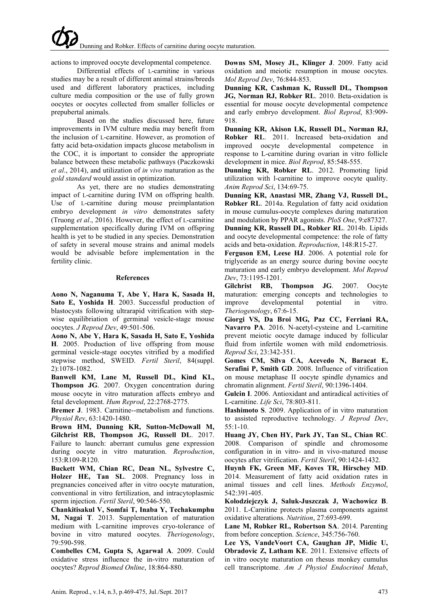actions to improved oocyte developmental competence.

Differential effects of L-carnitine in various studies may be a result of different animal strains/breeds used and different laboratory practices, including culture media composition or the use of fully grown oocytes or oocytes collected from smaller follicles or prepubertal animals.

Based on the studies discussed here, future improvements in IVM culture media may benefit from the inclusion of L-carnitine. However, as promotion of fatty acid beta-oxidation impacts glucose metabolism in the COC, it is important to consider the appropriate balance between these metabolic pathways [\(Paczkowski](#page-5-5)  *et al*[., 2014\)](#page-5-5), and utilization of *in vivo* maturation as the *gold standard* would assist in optimization.

As yet, there are no studies demonstrating impact of L-carnitine during IVM on offspring health. Use of L-carnitine during mouse preimplantation embryo development *in vitro* demonstrates safety [\(Truong](#page-5-24) *et al*., 2016). However, the effect of L-carnitine supplementation specifically during IVM on offspring health is yet to be studied in any species. Demonstration of safety in several mouse strains and animal models would be advisable before implementation in the fertility clinic.

#### **References**

**Aono N, Naganuma T, Abe Y, Hara K, Sasada H, Sato E, Yoshida H**. 2003. Successful production of blastocysts following ultrarapid vitrification with stepwise equilibriation of germinal vesicle-stage mouse oocytes. *J Reprod Dev*, 49:501-506.

<span id="page-4-20"></span>**Aono N, Abe Y, Hara K, Sasada H, Sato E, Yoshida H**. 2005. Production of live offspring from mouse germinal vesicle-stage oocytes vitrified by a modified stepwise method, SWEID. *Fertil Steril*, 84(suppl. 2):1078-1082.

<span id="page-4-17"></span>**Banwell KM, Lane M, Russell DL, Kind KL, Thompson JG**. 2007. Oxygen concentration during mouse oocyte in vitro maturation affects embryo and fetal development. *Hum Reprod*, 22:2768-2775.

<span id="page-4-8"></span>**Bremer J**. 1983. Carnitine--metabolism and functions. *Physiol Rev*, 63:1420-1480.

<span id="page-4-3"></span>**Brown HM, Dunning KR, Sutton-McDowall M, Gilchrist RB, Thompson JG, Russell DL**. 2017. Failure to launch: aberrant cumulus gene expression during oocyte in vitro maturation. *Reproduction*, 153:R109-R120.

<span id="page-4-2"></span>**Buckett WM, Chian RC, Dean NL, Sylvestre C, Holzer HE, Tan SL**. 2008. Pregnancy loss in pregnancies conceived after in vitro oocyte maturation, conventional in vitro fertilization, and intracytoplasmic sperm injection. *Fertil Steril*, 90:546-550.

<span id="page-4-21"></span>**Chankitisakul V, Somfai T, Inaba Y, Techakumphu M, Nagai T**. 2013. Supplementation of maturation medium with L-carnitine improves cryo-tolerance of bovine in vitro matured oocytes. *Theriogenology*, 79:590-598.

<span id="page-4-7"></span>**Combelles CM, Gupta S, Agarwal A**. 2009. Could oxidative stress influence the in-vitro maturation of oocytes? *Reprod Biomed Online*, 18:864-880.

<span id="page-4-14"></span>**Downs SM, Mosey JL, Klinger J**. 2009. Fatty acid oxidation and meiotic resumption in mouse oocytes. *Mol Reprod Dev*, 76:844-853.

**Dunning KR, Cashman K, Russell DL, Thompson JG, Norman RJ, Robker RL**. 2010. Beta-oxidation is essential for mouse oocyte developmental competence and early embryo development. *Biol Reprod*, 83:909- 918.

<span id="page-4-5"></span>**Dunning KR, Akison LK, Russell DL, Norman RJ, Robker RL**. 2011. Increased beta-oxidation and improved oocyte developmental competence in response to L-carnitine during ovarian in vitro follicle development in mice. *Biol Reprod*, 85:548-555.

**Dunning KR, Robker RL**. 2012. Promoting lipid utilization with l-carnitine to improve oocyte quality. *Anim Reprod Sci*, 134:69-75.

<span id="page-4-16"></span>**Dunning KR, Anastasi MR, Zhang VJ, Russell DL, Robker RL**. 2014a. Regulation of fatty acid oxidation in mouse cumulus-oocyte complexes during maturation and modulation by PPAR agonists. *PloS One*, 9:e87327.

<span id="page-4-4"></span>**Dunning KR, Russell DL, Robker RL**. 2014b. Lipids and oocyte developmental competence: the role of fatty acids and beta-oxidation. *Reproduction*, 148:R15-27.

<span id="page-4-12"></span>**Ferguson EM, Leese HJ**. 2006. A potential role for triglyceride as an energy source during bovine oocyte maturation and early embryo development. *Mol Reprod Dev*, 73:1195-1201.

<span id="page-4-1"></span>**Gilchrist RB, Thompson JG**. 2007. Oocyte maturation: emerging concepts and technologies to improve developmental potential in vitro. *Theriogenology*, 67:6-15.

<span id="page-4-11"></span>**Giorgi VS, Da Broi MG, Paz CC, Ferriani RA, Navarro PA**. 2016. N-acetyl-cysteine and L-carnitine prevent meiotic oocyte damage induced by follicular fluid from infertile women with mild endometriosis. *Reprod Sci*, 23:342-351.

<span id="page-4-18"></span>**Gomes CM, Silva CA, Acevedo N, Baracat E, Serafini P, Smith GD**. 2008. Influence of vitrification on mouse metaphase II oocyte spindle dynamics and chromatin alignment. *Fertil Steril*, 90:1396-1404.

<span id="page-4-9"></span>**Gulcin I**. 2006. Antioxidant and antiradical activities of L-carnitine. *Life Sci*, 78:803-811.

<span id="page-4-13"></span>**Hashimoto S**. 2009. Application of in vitro maturation to assisted reproductive technology. *J Reprod Dev*, 55:1-10.

<span id="page-4-19"></span>**Huang JY, Chen HY, Park JY, Tan SL, Chian RC**. 2008. Comparison of spindle and chromosome configuration in in vitro- and in vivo-matured mouse oocytes after vitrification. *Fertil Steril*, 90:1424-1432.

<span id="page-4-6"></span>**Huynh FK, Green MF, Koves TR, Hirschey MD**. 2014. Measurement of fatty acid oxidation rates in animal tissues and cell lines. *Methods Enzymol*, 542:391-405.

<span id="page-4-10"></span>**Kolodziejczyk J, Saluk-Juszczak J, Wachowicz B**. 2011. L-Carnitine protects plasma components against oxidative alterations. *Nutrition*, 27:693-699.

<span id="page-4-0"></span>**Lane M, Robker RL, Robertson SA**. 2014. Parenting from before conception. *Science*, 345:756-760.

<span id="page-4-15"></span>**Lee YS, VandeVoort CA, Gaughan JP, Midic U, Obradovic Z, Latham KE**. 2011. Extensive effects of in vitro oocyte maturation on rhesus monkey cumulus cell transcriptome. *Am J Physiol Endocrinol Metab*,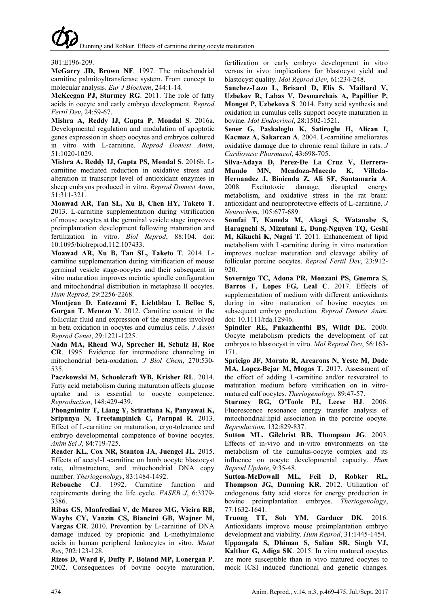Dunning and Robker. Effects of carnitine during oocyte maturation.

### 301:E196-209.

<span id="page-5-12"></span>**McGarry JD, Brown NF**. 1997. The mitochondrial carnitine palmitoyltransferase system. From concept to molecular analysis. *Eur J Biochem*, 244:1-14.

<span id="page-5-13"></span>**McKeegan PJ, Sturmey RG**. 2011. The role of fatty acids in oocyte and early embryo development. *Reprod Fertil Dev*, 24:59-67.

<span id="page-5-10"></span>**Mishra A, Reddy IJ, Gupta P, Mondal S**. 2016a. Developmental regulation and modulation of apoptotic genes expression in sheep oocytes and embryos cultured in vitro with L-carnitine. *Reprod Domest Anim*, 51:1020-1029.

<span id="page-5-20"></span>**Mishra A, Reddy IJ, Gupta PS, Mondal S**. 2016b. Lcarnitine mediated reduction in oxidative stress and alteration in transcript level of antioxidant enzymes in sheep embryos produced in vitro. *Reprod Domest Anim*, 51:311-321.

<span id="page-5-21"></span>**Moawad AR, Tan SL, Xu B, Chen HY, Taketo T**. 2013. L-carnitine supplementation during vitrification of mouse oocytes at the germinal vesicle stage improves preimplantation development following maturation and fertilization in vitro. *Biol Reprod*, 88:104. doi: 10.1095/biolreprod.112.107433.

<span id="page-5-22"></span>**Moawad AR, Xu B, Tan SL, Taketo T**. 2014. Lcarnitine supplementation during vitrification of mouse germinal vesicle stage-oocytes and their subsequent in vitro maturation improves meiotic spindle configuration and mitochondrial distribution in metaphase II oocytes. *Hum Reprod*, 29:2256-2268.

<span id="page-5-4"></span>**Montjean D, Entezami F, Lichtblau I, Belloc S, Gurgan T, Menezo Y**. 2012. Carnitine content in the follicular fluid and expression of the enzymes involved in beta oxidation in oocytes and cumulus cells. *J Assist Reprod Genet*, 29:1221-1225.

<span id="page-5-1"></span>**Nada MA, Rhead WJ, Sprecher H, Schulz H, Roe CR**. 1995. Evidence for intermediate channeling in mitochondrial beta-oxidation. *J Biol Chem*, 270:530- 535.

<span id="page-5-5"></span>**Paczkowski M, Schoolcraft WB, Krisher RL**. 2014. Fatty acid metabolism during maturation affects glucose uptake and is essential to oocyte competence. *Reproduction*, 148:429-439.

<span id="page-5-6"></span>**Phongnimitr T, Liang Y, Srirattana K, Panyawai K, Sripunya N, Treetampinich C, Parnpai R**. 2013. Effect of L-carnitine on maturation, cryo-tolerance and embryo developmental competence of bovine oocytes. *Anim Sci J*, 84:719-725.

<span id="page-5-9"></span>**Reader KL, Cox NR, Stanton JA, Juengel JL**. 2015. Effects of acetyl-L-carnitine on lamb oocyte blastocyst rate, ultrastructure, and mitochondrial DNA copy number. *Theriogenology*, 83:1484-1492.

<span id="page-5-2"></span>**Rebouche CJ**. 1992. Carnitine function and requirements during the life cycle. *FASEB J*, 6:3379- 3386.

<span id="page-5-19"></span>**Ribas GS, Manfredini V, de Marco MG, Vieira RB, Wayhs CY, Vanzin CS, Biancini GB, Wajner M, Vargas CR**. 2010. Prevention by L-carnitine of DNA damage induced by propionic and L-methylmalonic acids in human peripheral leukocytes in vitro. *Mutat Res*, 702:123-128.

<span id="page-5-0"></span>**Rizos D, Ward F, Duffy P, Boland MP, Lonergan P**. 2002. Consequences of bovine oocyte maturation, fertilization or early embryo development in vitro versus in vivo: implications for blastocyst yield and blastocyst quality. *Mol Reprod Dev*, 61:234-248.

<span id="page-5-15"></span>**Sanchez-Lazo L, Brisard D, Elis S, Maillard V, Uzbekov R, Labas V, Desmarchais A, Papillier P, Monget P, Uzbekova S**. 2014. Fatty acid synthesis and oxidation in cumulus cells support oocyte maturation in bovine. *Mol Endocrinol*, 28:1502-1521.

<span id="page-5-3"></span>**Sener G, Paskaloglu K, Satiroglu H, Alican I, Kacmaz A, Sakarcan A**. 2004. L-carnitine ameliorates oxidative damage due to chronic renal failure in rats. *J Cardiovasc Pharmacol*, 43:698-705.

<span id="page-5-18"></span>**Silva-Adaya D, Perez-De La Cruz V, Herrera-**MN, Mendoza-Macedo K, **Hernandez J, Binienda Z, Ali SF, Santamaria A**. 2008. Excitotoxic damage, disrupted energy metabolism, and oxidative stress in the rat brain: antioxidant and neuroprotective effects of L-carnitine. *J Neurochem*, 105:677-689.

<span id="page-5-8"></span>**Somfai T, Kaneda M, Akagi S, Watanabe S, Haraguchi S, Mizutani E, Dang-Nguyen TQ, Geshi M, Kikuchi K, Nagai T**. 2011. Enhancement of lipid metabolism with L-carnitine during in vitro maturation improves nuclear maturation and cleavage ability of follicular porcine oocytes. *Reprod Fertil Dev*, 23:912- 920.

<span id="page-5-7"></span>**Sovernigo TC, Adona PR, Monzani PS, Guemra S, Barros F, Lopes FG, Leal C**. 2017. Effects of supplementation of medium with different antioxidants during in vitro maturation of bovine oocytes on subsequent embryo production. *Reprod Domest Anim*. doi: 10.1111/rda.12946.

<span id="page-5-14"></span>**Spindler RE, Pukazhenthi BS, Wildt DE**. 2000. Oocyte metabolism predicts the development of cat embryos to blastocyst in vitro. *Mol Reprod Dev*, 56:163- 171.

<span id="page-5-23"></span>**Spricigo JF, Morato R, Arcarons N, Yeste M, Dode MA, Lopez-Bejar M, Mogas T**. 2017. Assessment of the effect of adding L-carnitine and/or resveratrol to maturation medium before vitrification on in vitromatured calf oocytes. *Theriogenology*, 89:47-57.

<span id="page-5-11"></span>**Sturmey RG, O'Toole PJ, Leese HJ**. 2006. Fluorescence resonance energy transfer analysis of mitochondrial:lipid association in the porcine oocyte. *Reproduction*, 132:829-837.

**Sutton ML, Gilchrist RB, Thompson JG**. 2003. Effects of in-vivo and in-vitro environments on the metabolism of the cumulus-oocyte complex and its influence on oocyte developmental capacity. *Hum Reprod Update*, 9:35-48.

<span id="page-5-16"></span>**Sutton-McDowall ML, Feil D, Robker RL, Thompson JG, Dunning KR**. 2012. Utilization of endogenous fatty acid stores for energy production in bovine preimplantation embryos. *Theriogenology*, 77:1632-1641.

<span id="page-5-24"></span>**Truong TT, Soh YM, Gardner DK**. 2016. Antioxidants improve mouse preimplantation embryo development and viability. *Hum Reprod*, 31:1445-1454.

<span id="page-5-17"></span>**Uppangala S, Dhiman S, Salian SR, Singh VJ, Kalthur G, Adiga SK**. 2015. In vitro matured oocytes are more susceptible than in vivo matured oocytes to mock ICSI induced functional and genetic changes.